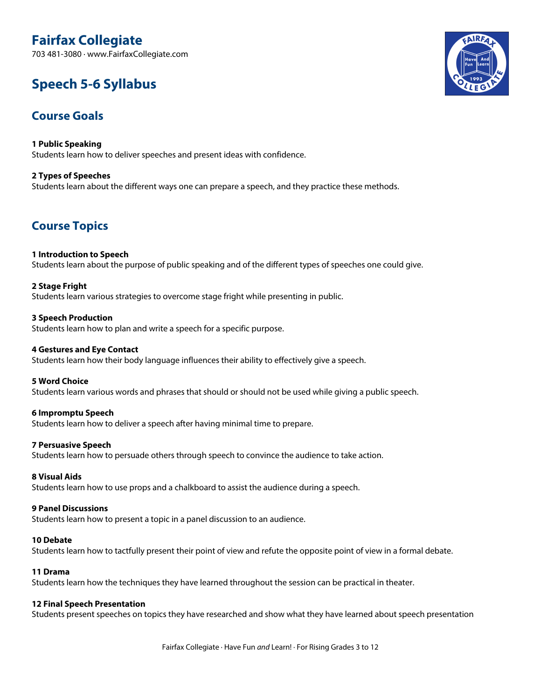# **Fairfax Collegiate**

703 481-3080 · www.FairfaxCollegiate.com

# **Speech 5-6 Syllabus**

## **Course Goals**

**1 Public Speaking** Students learn how to deliver speeches and present ideas with confidence.

**2 Types of Speeches** Students learn about the different ways one can prepare a speech, and they practice these methods.

## **Course Topics**

## **1 Introduction to Speech**

Students learn about the purpose of public speaking and of the different types of speeches one could give.

## **2 Stage Fright**

Students learn various strategies to overcome stage fright while presenting in public.

#### **3 Speech Production**

Students learn how to plan and write a speech for a specific purpose.

#### **4 Gestures and Eye Contact**

Students learn how their body language influences their ability to effectively give a speech.

#### **5 Word Choice**

Students learn various words and phrases that should or should not be used while giving a public speech.

#### **6 Impromptu Speech**

Students learn how to deliver a speech after having minimal time to prepare.

#### **7 Persuasive Speech**

Students learn how to persuade others through speech to convince the audience to take action.

#### **8 Visual Aids**

Students learn how to use props and a chalkboard to assist the audience during a speech.

#### **9 Panel Discussions**

Students learn how to present a topic in a panel discussion to an audience.

#### **10 Debate**

Students learn how to tactfully present their point of view and refute the opposite point of view in a formal debate.

#### **11 Drama**

Students learn how the techniques they have learned throughout the session can be practical in theater.

#### **12 Final Speech Presentation**

Students present speeches on topics they have researched and show what they have learned about speech presentation

Fairfax Collegiate · Have Fun *and* Learn! · For Rising Grades 3 to 12

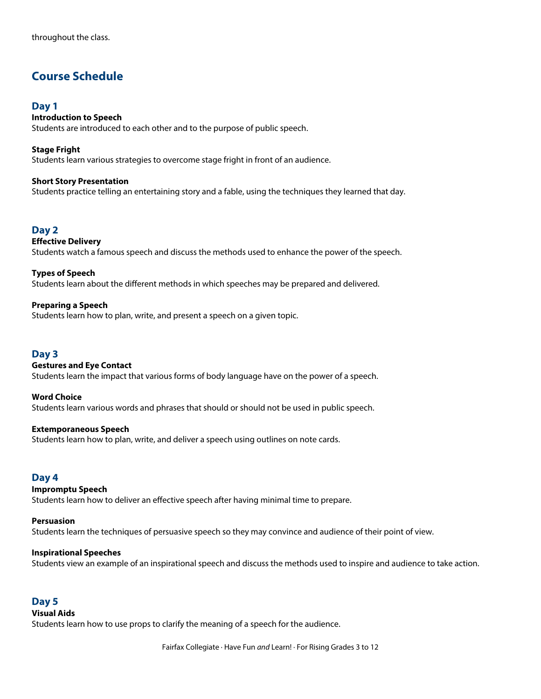## **Course Schedule**

## **Day 1**

## **Introduction to Speech**

Students are introduced to each other and to the purpose of public speech.

**Stage Fright** Students learn various strategies to overcome stage fright in front of an audience.

#### **Short Story Presentation**

Students practice telling an entertaining story and a fable, using the techniques they learned that day.

## **Day 2**

#### **Effective Delivery** Students watch a famous speech and discuss the methods used to enhance the power of the speech.

**Types of Speech** Students learn about the different methods in which speeches may be prepared and delivered.

## **Preparing a Speech**

Students learn how to plan, write, and present a speech on a given topic.

## **Day 3**

## **Gestures and Eye Contact**

Students learn the impact that various forms of body language have on the power of a speech.

**Word Choice** Students learn various words and phrases that should or should not be used in public speech.

#### **Extemporaneous Speech**

Students learn how to plan, write, and deliver a speech using outlines on note cards.

## **Day 4**

## **Impromptu Speech**

Students learn how to deliver an effective speech after having minimal time to prepare.

#### **Persuasion**

Students learn the techniques of persuasive speech so they may convince and audience of their point of view.

#### **Inspirational Speeches**

Students view an example of an inspirational speech and discuss the methods used to inspire and audience to take action.

## **Day 5**

#### **Visual Aids**

Students learn how to use props to clarify the meaning of a speech for the audience.

Fairfax Collegiate · Have Fun *and* Learn! · For Rising Grades 3 to 12